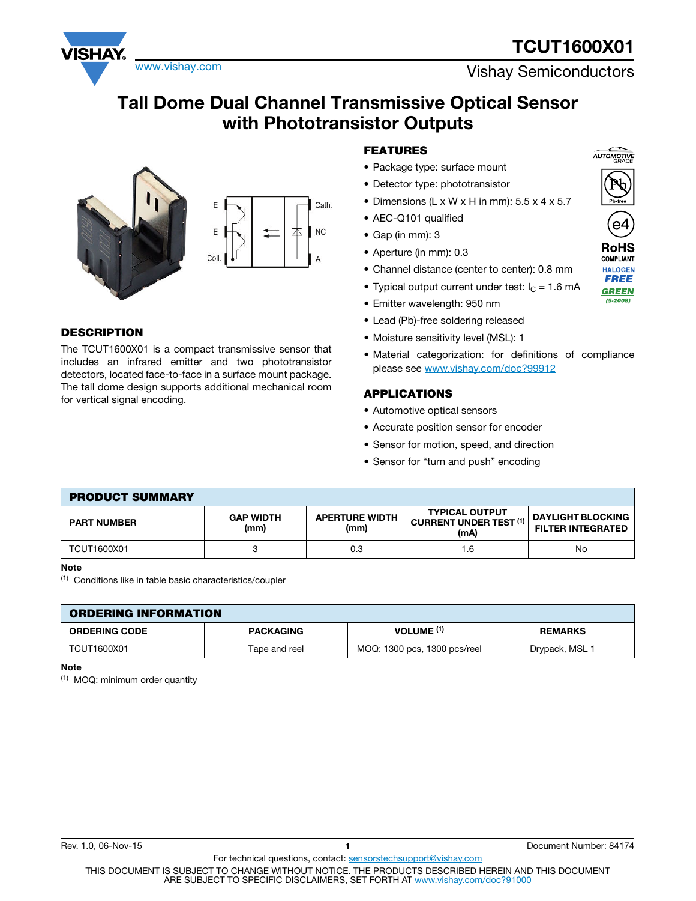# **TCUT1600X01**



www.vishay.com **Vishay Semiconductors** 

## **Tall Dome Dual Channel Transmissive Optical Sensor with Phototransistor Outputs**





### **DESCRIPTION**

The TCUT1600X01 is a compact transmissive sensor that includes an infrared emitter and two phototransistor detectors, located face-to-face in a surface mount package. The tall dome design supports additional mechanical room for vertical signal encoding.

### **FEATURES**

- Package type: surface mount
- Detector type: phototransistor
- Dimensions (L x W x H in mm): 5.5 x 4 x 5.7
- AEC-Q101 qualified
- Gap (in mm): 3
- Aperture (in mm): 0.3
- Channel distance (center to center): 0.8 mm
- Typical output current under test:  $I_C = 1.6$  mA
- Emitter wavelength: 950 nm
- Lead (Pb)-free soldering released
- Moisture sensitivity level (MSL): 1
- Material categorization: for definitions of compliance please see www.vishay.com/doc?99912

#### **APPLICATIONS**

- Automotive optical sensors
- Accurate position sensor for encoder
- Sensor for motion, speed, and direction
- Sensor for "turn and push" encoding

#### **PRODUCT SUMMARY PART NUMBER GAP WIDTH (mm) APERTURE WIDTH (mm) TYPICAL OUTPUT CURRENT UNDER TEST (1) (mA) DAYLIGHT BLOCKING FILTER INTEGRATED** TCUT1600X01 3 0.3 1.6 No

#### **Note**

(1) Conditions like in table basic characteristics/coupler

| <b>ORDERING INFORMATION</b> |                  |                              |                |  |  |  |  |  |
|-----------------------------|------------------|------------------------------|----------------|--|--|--|--|--|
| <b>ORDERING CODE</b>        | <b>PACKAGING</b> | VOLUME <sup>(1)</sup>        | <b>REMARKS</b> |  |  |  |  |  |
| TCUT1600X01                 | Tape and reel    | MOQ: 1300 pcs, 1300 pcs/reel | Drypack, MSL 1 |  |  |  |  |  |

#### **Note**

(1) MOQ: minimum order quantity





**HAI OGEN FREE GREEN**  $(5-2008)$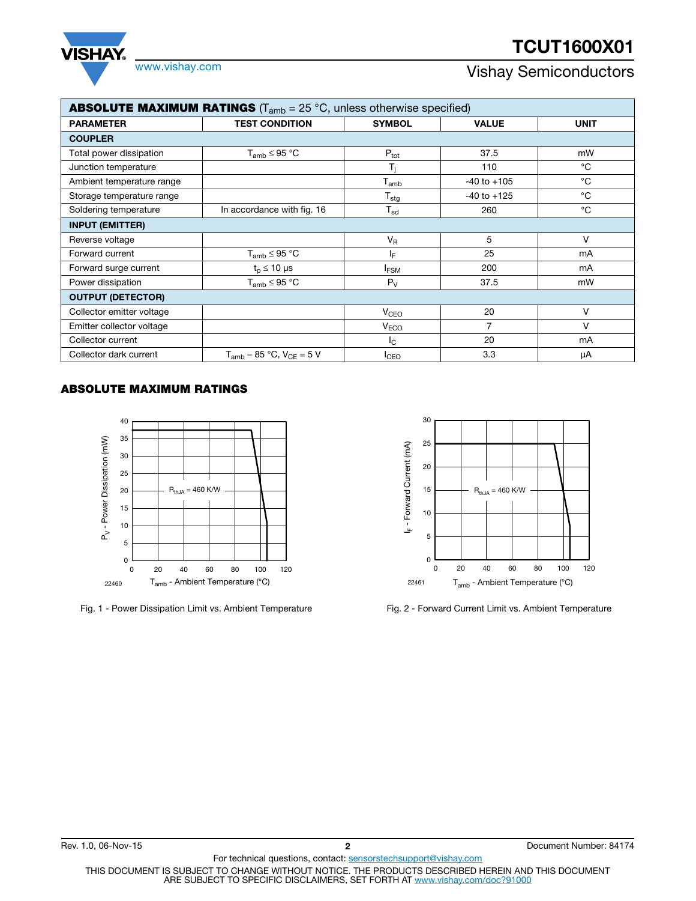# **TCUT1600X01**



## www.vishay.com **Vishay.com** Vishay Semiconductors

| <b>ABSOLUTE MAXIMUM RATINGS</b> ( $T_{amb}$ = 25 °C, unless otherwise specified) |                                    |                            |                 |             |  |  |  |  |
|----------------------------------------------------------------------------------|------------------------------------|----------------------------|-----------------|-------------|--|--|--|--|
| <b>PARAMETER</b>                                                                 | <b>TEST CONDITION</b>              | <b>SYMBOL</b>              | <b>VALUE</b>    | <b>UNIT</b> |  |  |  |  |
| <b>COUPLER</b>                                                                   |                                    |                            |                 |             |  |  |  |  |
| Total power dissipation                                                          | $T_{amb} \leq 95 °C$               | $P_{\text{tot}}$           | 37.5            | mW          |  |  |  |  |
| Junction temperature                                                             |                                    | T,                         | 110             | $^{\circ}C$ |  |  |  |  |
| Ambient temperature range                                                        |                                    | $T_{amb}$                  | $-40$ to $+105$ | $^{\circ}C$ |  |  |  |  |
| Storage temperature range                                                        |                                    | $T_{\text{stg}}$           | $-40$ to $+125$ | °C          |  |  |  |  |
| Soldering temperature                                                            | In accordance with fig. 16         | $\mathsf{T}_{\mathsf{sd}}$ | 260             | °C          |  |  |  |  |
| <b>INPUT (EMITTER)</b>                                                           |                                    |                            |                 |             |  |  |  |  |
| Reverse voltage                                                                  |                                    | $V_{R}$                    | 5               | ٧           |  |  |  |  |
| Forward current                                                                  | $T_{amb} \leq 95 °C$               | IF.                        | 25              | mA          |  |  |  |  |
| Forward surge current                                                            | $t_{p} \leq 10 \mu s$              | <b>IFSM</b>                | 200             | mA          |  |  |  |  |
| Power dissipation                                                                | $T_{amb} \leq 95 °C$               | $P_V$                      | 37.5            | mW          |  |  |  |  |
| <b>OUTPUT (DETECTOR)</b>                                                         |                                    |                            |                 |             |  |  |  |  |
| Collector emitter voltage                                                        |                                    | <b>V<sub>CEO</sub></b>     | 20              | v           |  |  |  |  |
| Emitter collector voltage                                                        |                                    | V <sub>ECO</sub>           | 7               | v           |  |  |  |  |
| Collector current                                                                |                                    | I <sub>C</sub>             | 20              | mA          |  |  |  |  |
| Collector dark current                                                           | $T_{amb} = 85 °C$ , $V_{CE} = 5 V$ | <b>I</b> CEO               | 3.3             | μA          |  |  |  |  |

### **ABSOLUTE MAXIMUM RATINGS**



Fig. 1 - Power Dissipation Limit vs. Ambient Temperature Fig. 2 - Forward Current Limit vs. Ambient Temperature

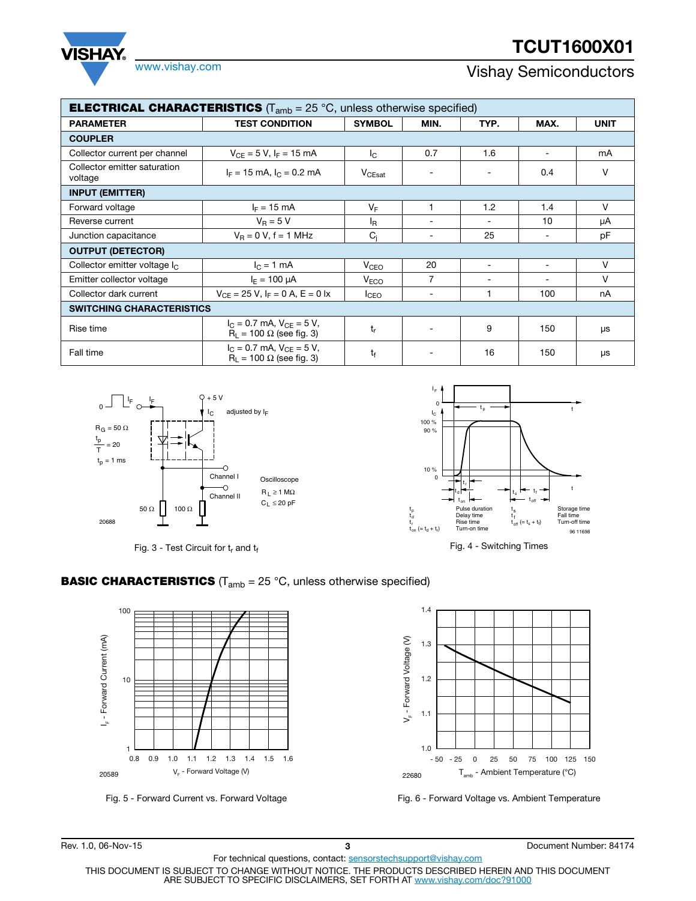# **TCUT1600X01**



## www.vishay.com **Vishay Semiconductors**

| <b>ELECTRICAL CHARACTERISTICS</b> ( $T_{amb} = 25 \degree C$ , unless otherwise specified) |                                                                    |                        |                          |                          |                          |             |  |  |  |
|--------------------------------------------------------------------------------------------|--------------------------------------------------------------------|------------------------|--------------------------|--------------------------|--------------------------|-------------|--|--|--|
| <b>PARAMETER</b>                                                                           | <b>TEST CONDITION</b>                                              | <b>SYMBOL</b>          | MIN.                     | TYP.                     | MAX.                     | <b>UNIT</b> |  |  |  |
| <b>COUPLER</b>                                                                             |                                                                    |                        |                          |                          |                          |             |  |  |  |
| Collector current per channel                                                              | $V_{CE} = 5 V$ , I <sub>F</sub> = 15 mA                            | Ic.                    | 0.7                      | 1.6                      | $\overline{\phantom{a}}$ | mA          |  |  |  |
| Collector emitter saturation<br>voltage                                                    | $I_F = 15$ mA, $I_C = 0.2$ mA                                      | $V_{CEsat}$            |                          |                          | 0.4                      | v           |  |  |  |
| <b>INPUT (EMITTER)</b>                                                                     |                                                                    |                        |                          |                          |                          |             |  |  |  |
| Forward voltage                                                                            | $I_F = 15 \text{ mA}$                                              | $V_F$                  | 1                        | 1.2                      | 1.4                      | V           |  |  |  |
| Reverse current                                                                            | $V_R = 5 V$                                                        | l <sub>R</sub>         | $\overline{\phantom{0}}$ |                          | 10                       | μA          |  |  |  |
| Junction capacitance                                                                       | $V_B = 0 V$ , f = 1 MHz                                            | $C_i$                  | -                        | 25                       | $\overline{\phantom{a}}$ | рF          |  |  |  |
| <b>OUTPUT (DETECTOR)</b>                                                                   |                                                                    |                        |                          |                          |                          |             |  |  |  |
| Collector emitter voltage $I_{\rm C}$                                                      | $I_C = 1$ mA                                                       | V <sub>CEO</sub>       | 20                       | $\overline{\phantom{0}}$ | $\overline{\phantom{a}}$ | $\vee$      |  |  |  |
| Emitter collector voltage                                                                  | $I_E = 100 \mu A$                                                  | <b>V<sub>ECO</sub></b> | 7                        |                          |                          | V           |  |  |  |
| Collector dark current                                                                     | $V_{CE} = 25 V$ , $I_F = 0 A$ , $E = 0 Ix$                         | <b>I</b> CEO           | -                        |                          | 100                      | nA          |  |  |  |
| <b>SWITCHING CHARACTERISTICS</b>                                                           |                                                                    |                        |                          |                          |                          |             |  |  |  |
| Rise time                                                                                  | $I_C = 0.7$ mA, $V_{CF} = 5$ V,<br>$R_1 = 100 \Omega$ (see fig. 3) | t,                     |                          | 9                        | 150                      | μs          |  |  |  |
| Fall time                                                                                  | $I_C = 0.7$ mA, $V_{CE} = 5$ V,<br>$R_1 = 100 \Omega$ (see fig. 3) | $t_{\rm f}$            |                          | 16                       | 150                      | μs          |  |  |  |



**BASIC CHARACTERISTICS** (T<sub>amb</sub> = 25 °C, unless otherwise specified)







Fig. 5 - Forward Current vs. Forward Voltage Fig. 6 - Forward Voltage vs. Ambient Temperature

For technical questions, contact: sensorstechsupport@vishay.com THIS DOCUMENT IS SUBJECT TO CHANGE WITHOUT NOTICE. THE PRODUCTS DESCRIBED HEREIN AND THIS DOCUMENT ARE SUBJECT TO SPECIFIC DISCLAIMERS, SET FORTH AT www.vishay.com/doc?91000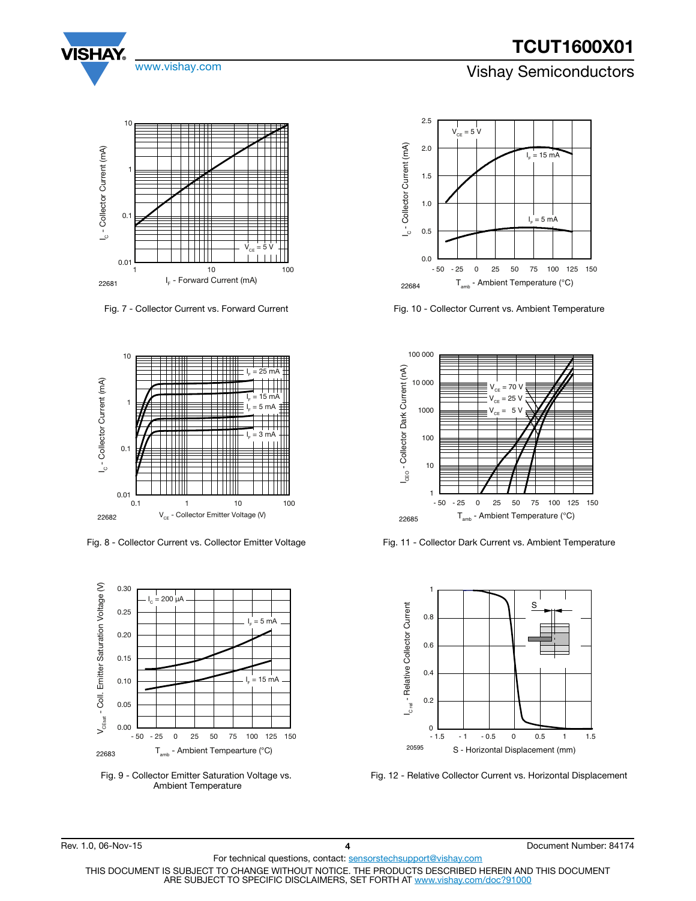### www.vishay.com **Vishay Semiconductors**



Fig. 7 - Collector Current vs. Forward Current



Fig. 8 - Collector Current vs. Collector Emitter Voltage



Fig. 9 - Collector Emitter Saturation Voltage vs. Ambient Temperature



Fig. 10 - Collector Current vs. Ambient Temperature



Fig. 11 - Collector Dark Current vs. Ambient Temperature



Fig. 12 - Relative Collector Current vs. Horizontal Displacement

For technical questions, contact: sensorstechsupport@vishay.com THIS DOCUMENT IS SUBJECT TO CHANGE WITHOUT NOTICE. THE PRODUCTS DESCRIBED HEREIN AND THIS DOCUMENT ARE SUBJECT TO SPECIFIC DISCLAIMERS, SET FORTH AT www.vishay.com/doc?91000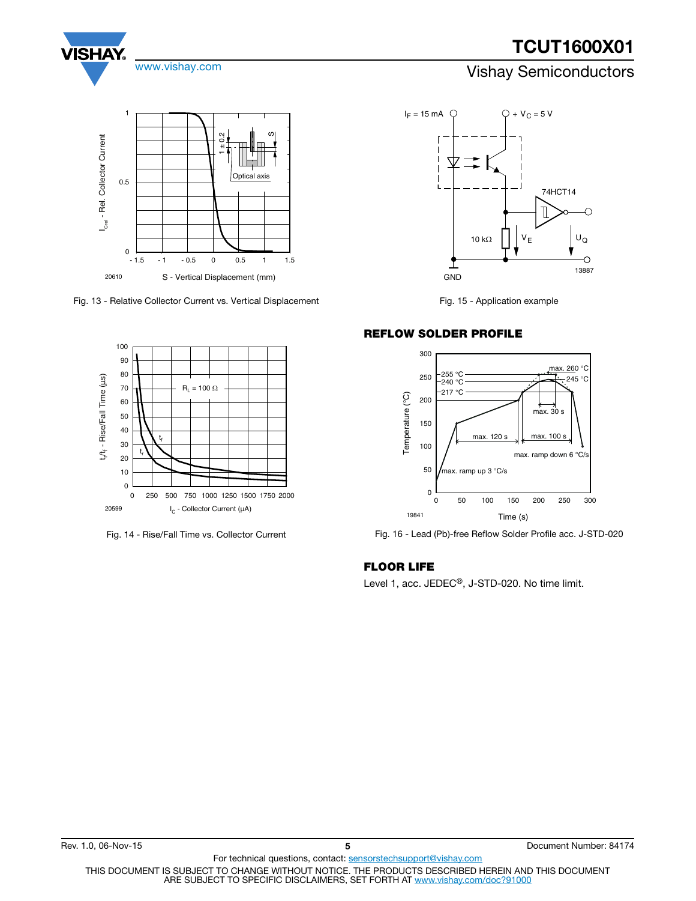

S - Vertical Displacement (mm) 20610

Fig. 13 - Relative Collector Current vs. Vertical Displacement



Fig. 14 - Rise/Fall Time vs. Collector Current



Fig. 15 - Application example

#### **REFLOW SOLDER PROFILE**



Fig. 16 - Lead (Pb)-free Reflow Solder Profile acc. J-STD-020

### **FLOOR LIFE**

Level 1, acc. JEDEC®, J-STD-020. No time limit.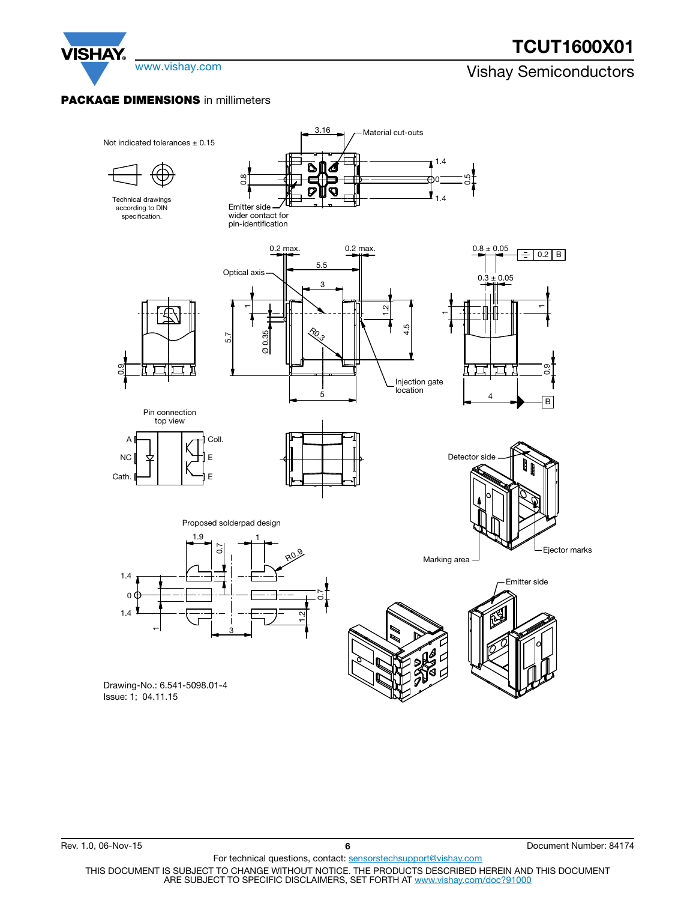

www.vishay.com **Vishay Semiconductors** 

#### **PACKAGE DIMENSIONS** in millimeters

**VISHAY** 



For technical questions, contact: sensorstechsupport@vishay.com THIS DOCUMENT IS SUBJECT TO CHANGE WITHOUT NOTICE. THE PRODUCTS DESCRIBED HEREIN AND THIS DOCUMENT ARE SUBJECT TO SPECIFIC DISCLAIMERS, SET FORTH AT www.vishay.com/doc?91000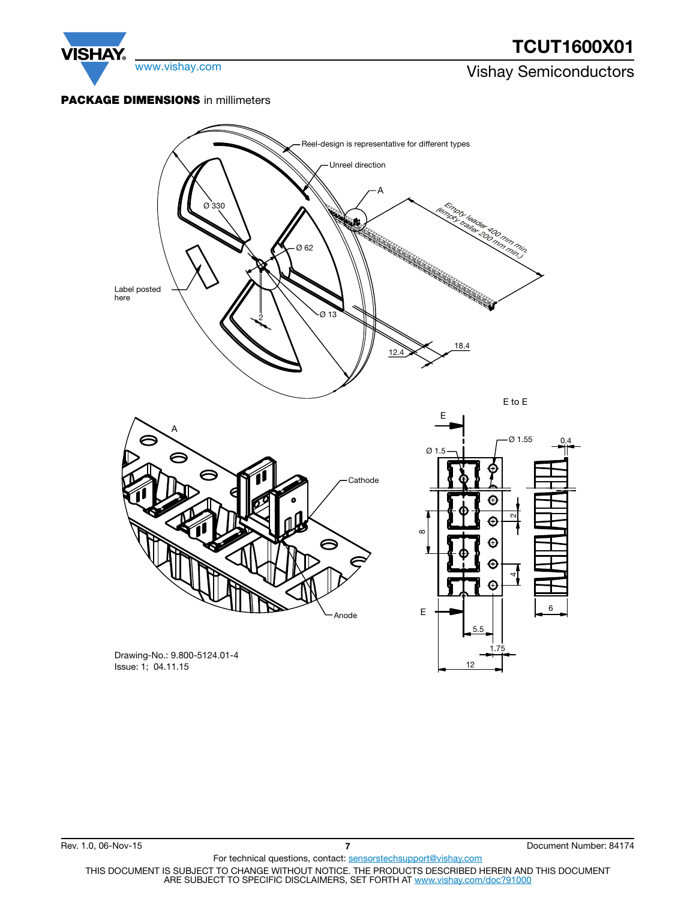

Issue: 1; 04.11.15

12

For technical questions, contact: sensorstechsupport@vishay.com THIS DOCUMENT IS SUBJECT TO CHANGE WITHOUT NOTICE. THE PRODUCTS DESCRIBED HEREIN AND THIS DOCUMENT<br>ARE SUBJECT TO SPECIFIC DISCLAIMERS, SET FORTH AT <u>www.vishay.com/doc?91000</u>